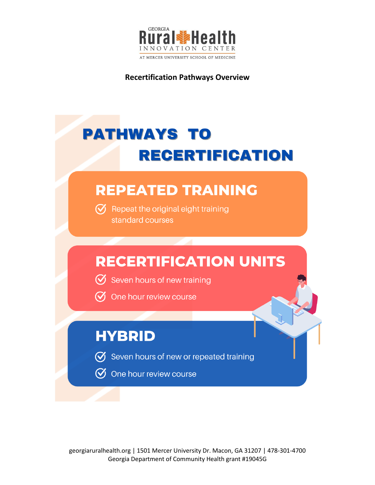

**Recertification Pathways Overview** 

# **PATHWAYS TO RECERTIFICATION**

## **REPEATED TRAINING**

 $\heartsuit$  Repeat the original eight training standard courses

## **RECERTIFICATION UNITS**

- Seven hours of new training
- $\emptyset$  One hour review course

### **HYBRID**

- $\bm{\triangledown}$  Seven hours of new or repeated training
- $\oslash$  One hour review course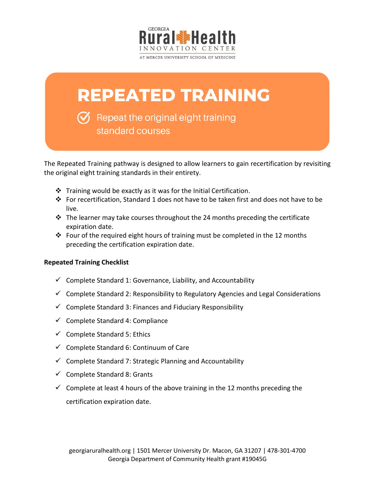

## **REPEATED TRAINING**

 $\bigvee$  Repeat the original eight training standard courses

The Repeated Training pathway is designed to allow learners to gain recertification by revisiting the original eight training standards in their entirety.

- ❖ Training would be exactly as it was for the Initial Certification.
- ❖ For recertification, Standard 1 does not have to be taken first and does not have to be live.
- ❖ The learner may take courses throughout the 24 months preceding the certificate expiration date.
- ❖ Four of the required eight hours of training must be completed in the 12 months preceding the certification expiration date.

### **Repeated Training Checklist**

- $\checkmark$  Complete Standard 1: Governance, Liability, and Accountability
- $\checkmark$  Complete Standard 2: Responsibility to Regulatory Agencies and Legal Considerations
- $\checkmark$  Complete Standard 3: Finances and Fiduciary Responsibility
- $\checkmark$  Complete Standard 4: Compliance
- $\checkmark$  Complete Standard 5: Ethics
- $\checkmark$  Complete Standard 6: Continuum of Care
- $\checkmark$  Complete Standard 7: Strategic Planning and Accountability
- $\checkmark$  Complete Standard 8: Grants
- $\checkmark$  Complete at least 4 hours of the above training in the 12 months preceding the certification expiration date.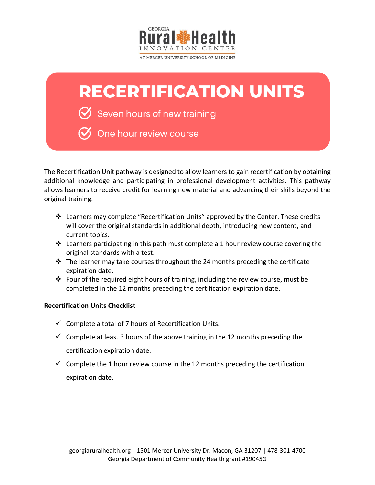

# **RECERTIFICATION UNITS**

 $\mathcal{\breve{\mathcal{Y}}}$  Seven hours of new training

One hour review course

The Recertification Unit pathway is designed to allow learners to gain recertification by obtaining additional knowledge and participating in professional development activities. This pathway allows learners to receive credit for learning new material and advancing their skills beyond the original training.

- $\dots$  Learners may complete "Recertification Units" approved by the Center. These credits will cover the original standards in additional depth, introducing new content, and current topics.
- ◆ Learners participating in this path must complete a 1 hour review course covering the original standards with a test.
- ❖ The learner may take courses throughout the 24 months preceding the certificate expiration date.
- ❖ Four of the required eight hours of training, including the review course, must be completed in the 12 months preceding the certification expiration date.

### **Recertification Units Checklist**

- $\checkmark$  Complete a total of 7 hours of Recertification Units.
- $\checkmark$  Complete at least 3 hours of the above training in the 12 months preceding the certification expiration date.
- $\checkmark$  Complete the 1 hour review course in the 12 months preceding the certification expiration date.